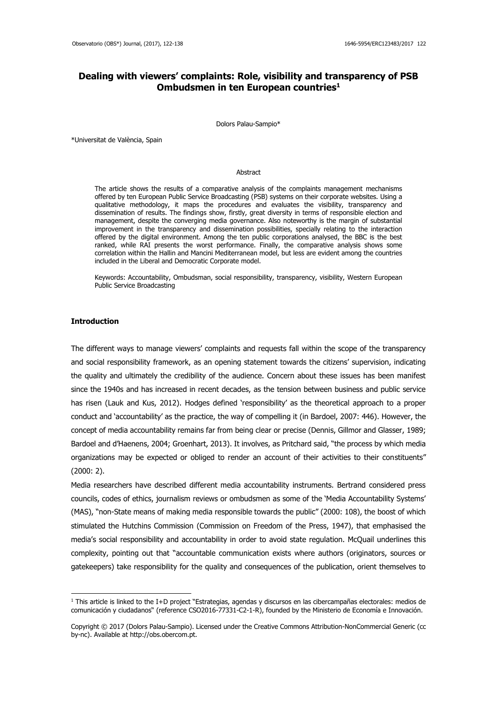# **Dealing with viewers' complaints: Role, visibility and transparency of PSB Ombudsmen in ten European countries<sup>1</sup>**

Dolors Palau-Sampio\*

\*Universitat de València, Spain

#### **Abstract**

The article shows the results of a comparative analysis of the complaints management mechanisms offered by ten European Public Service Broadcasting (PSB) systems on their corporate websites. Using a qualitative methodology, it maps the procedures and evaluates the visibility, transparency and dissemination of results. The findings show, firstly, great diversity in terms of responsible election and management, despite the converging media governance. Also noteworthy is the margin of substantial improvement in the transparency and dissemination possibilities, specially relating to the interaction offered by the digital environment. Among the ten public corporations analysed, the BBC is the best ranked, while RAI presents the worst performance. Finally, the comparative analysis shows some correlation within the Hallin and Mancini Mediterranean model, but less are evident among the countries included in the Liberal and Democratic Corporate model.

Keywords: Accountability, Ombudsman, social responsibility, transparency, visibility, Western European Public Service Broadcasting

### **Introduction**

1

The different ways to manage viewers' complaints and requests fall within the scope of the transparency and social responsibility framework, as an opening statement towards the citizens' supervision, indicating the quality and ultimately the credibility of the audience. Concern about these issues has been manifest since the 1940s and has increased in recent decades, as the tension between business and public service has risen (Lauk and Kus, 2012). Hodges defined 'responsibility' as the theoretical approach to a proper conduct and 'accountability' as the practice, the way of compelling it (in Bardoel, 2007: 446). However, the concept of media accountability remains far from being clear or precise (Dennis, Gillmor and Glasser, 1989; Bardoel and d'Haenens, 2004; Groenhart, 2013). It involves, as Pritchard said, "the process by which media organizations may be expected or obliged to render an account of their activities to their constituents" (2000: 2).

Media researchers have described different media accountability instruments. Bertrand considered press councils, codes of ethics, journalism reviews or ombudsmen as some of the 'Media Accountability Systems' (MAS), "non-State means of making media responsible towards the public" (2000: 108), the boost of which stimulated the Hutchins Commission (Commission on Freedom of the Press, 1947), that emphasised the media's social responsibility and accountability in order to avoid state regulation. McQuail underlines this complexity, pointing out that "accountable communication exists where authors (originators, sources or gatekeepers) take responsibility for the quality and consequences of the publication, orient themselves to

<sup>1</sup> This article is linked to the I+D project "Estrategias, agendas y discursos en las cibercampañas electorales: medios de comunicación y ciudadanos" (reference CSO2016-77331-C2-1-R), founded by the Ministerio de Economía e Innovación.

Copyright © 2017 (Dolors Palau-Sampio). Licensed under the Creative Commons Attribution-NonCommercial Generic (cc by-nc). Available at http://obs.obercom.pt.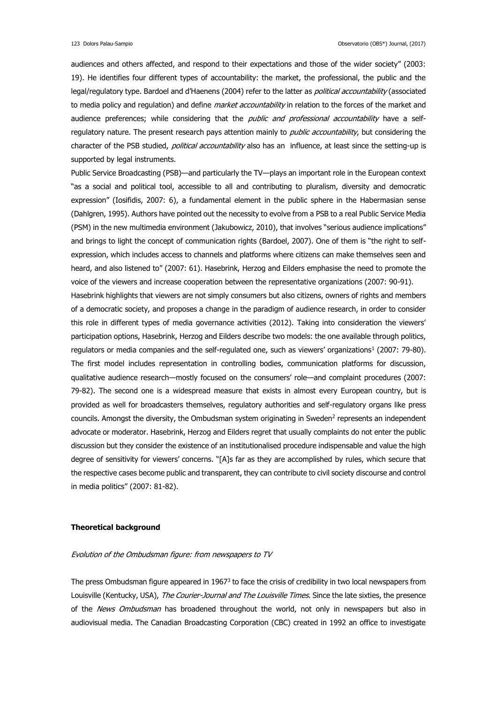audiences and others affected, and respond to their expectations and those of the wider society" (2003: 19). He identifies four different types of accountability: the market, the professional, the public and the legal/regulatory type. Bardoel and d'Haenens (2004) refer to the latter as *political accountability* (associated to media policy and regulation) and define *market accountability* in relation to the forces of the market and audience preferences; while considering that the *public and professional accountability* have a selfregulatory nature. The present research pays attention mainly to *public accountability*, but considering the character of the PSB studied, political accountability also has an influence, at least since the setting-up is supported by legal instruments.

Public Service Broadcasting (PSB)—and particularly the TV—plays an important role in the European context "as a social and political tool, accessible to all and contributing to pluralism, diversity and democratic expression" (Iosifidis, 2007: 6), a fundamental element in the public sphere in the Habermasian sense (Dahlgren, 1995). Authors have pointed out the necessity to evolve from a PSB to a real Public Service Media (PSM) in the new multimedia environment (Jakubowicz, 2010), that involves "serious audience implications" and brings to light the concept of communication rights (Bardoel, 2007). One of them is "the right to selfexpression, which includes access to channels and platforms where citizens can make themselves seen and heard, and also listened to" (2007: 61). Hasebrink, Herzog and Eilders emphasise the need to promote the voice of the viewers and increase cooperation between the representative organizations (2007: 90-91).

Hasebrink highlights that viewers are not simply consumers but also citizens, owners of rights and members of a democratic society, and proposes a change in the paradigm of audience research, in order to consider this role in different types of media governance activities (2012). Taking into consideration the viewers' participation options, Hasebrink, Herzog and Eilders describe two models: the one available through politics, regulators or media companies and the self-regulated one, such as viewers' organizations<sup>1</sup> (2007: 79-80). The first model includes representation in controlling bodies, communication platforms for discussion, qualitative audience research—mostly focused on the consumers' role—and complaint procedures (2007: 79-82). The second one is a widespread measure that exists in almost every European country, but is provided as well for broadcasters themselves, regulatory authorities and self-regulatory organs like press councils. Amongst the diversity, the Ombudsman system originating in Sweden<sup>2</sup> represents an independent advocate or moderator. Hasebrink, Herzog and Eilders regret that usually complaints do not enter the public discussion but they consider the existence of an institutionalised procedure indispensable and value the high degree of sensitivity for viewers' concerns. "[A]s far as they are accomplished by rules, which secure that the respective cases become public and transparent, they can contribute to civil society discourse and control in media politics" (2007: 81-82).

### **Theoretical background**

### Evolution of the Ombudsman figure: from newspapers to TV

The press Ombudsman figure appeared in 1967<sup>3</sup> to face the crisis of credibility in two local newspapers from Louisville (Kentucky, USA), The Courier-Journal and The Louisville Times. Since the late sixties, the presence of the News Ombudsman has broadened throughout the world, not only in newspapers but also in audiovisual media. The Canadian Broadcasting Corporation (CBC) created in 1992 an office to investigate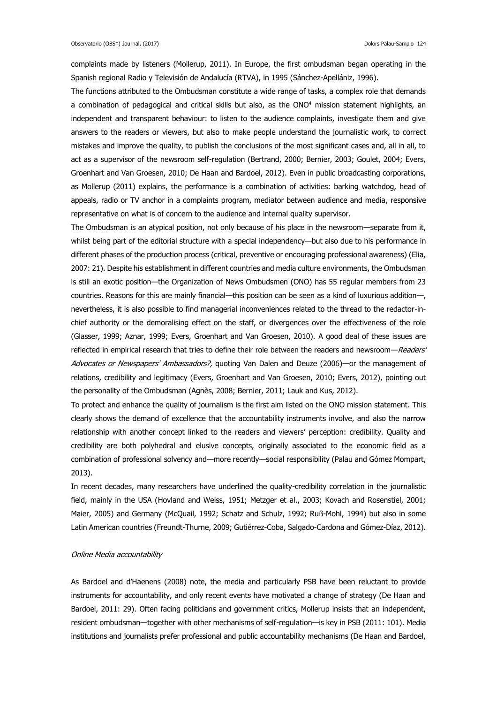complaints made by listeners (Mollerup, 2011). In Europe, the first ombudsman began operating in the Spanish regional Radio y Televisión de Andalucía (RTVA), in 1995 (Sánchez-Apellániz, 1996).

The functions attributed to the Ombudsman constitute a wide range of tasks, a complex role that demands a combination of pedagogical and critical skills but also, as the ONO<sup>4</sup> mission statement highlights, an independent and transparent behaviour: to listen to the audience complaints, investigate them and give answers to the readers or viewers, but also to make people understand the journalistic work, to correct mistakes and improve the quality, to publish the conclusions of the most significant cases and, all in all, to act as a supervisor of the newsroom self-regulation (Bertrand, 2000; Bernier, 2003; Goulet, 2004; Evers, Groenhart and Van Groesen, 2010; De Haan and Bardoel, 2012). Even in public broadcasting corporations, as Mollerup (2011) explains, the performance is a combination of activities: barking watchdog, head of appeals, radio or TV anchor in a complaints program, mediator between audience and media, responsive representative on what is of concern to the audience and internal quality supervisor.

The Ombudsman is an atypical position, not only because of his place in the newsroom—separate from it, whilst being part of the editorial structure with a special independency—but also due to his performance in different phases of the production process (critical, preventive or encouraging professional awareness) (Elia, 2007: 21). Despite his establishment in different countries and media culture environments, the Ombudsman is still an exotic position—the Organization of News Ombudsmen (ONO) has 55 regular members from 23 countries. Reasons for this are mainly financial—this position can be seen as a kind of luxurious addition—, nevertheless, it is also possible to find managerial inconveniences related to the thread to the redactor-inchief authority or the demoralising effect on the staff, or divergences over the effectiveness of the role (Glasser, 1999; Aznar, 1999; Evers, Groenhart and Van Groesen, 2010). A good deal of these issues are reflected in empirical research that tries to define their role between the readers and newsroom—Readers' Advocates or Newspapers' Ambassadors?, quoting Van Dalen and Deuze (2006)—or the management of relations, credibility and legitimacy (Evers, Groenhart and Van Groesen, 2010; Evers, 2012), pointing out the personality of the Ombudsman (Agnès, 2008; Bernier, 2011; Lauk and Kus, 2012).

To protect and enhance the quality of journalism is the first aim listed on the ONO mission statement. This clearly shows the demand of excellence that the accountability instruments involve, and also the narrow relationship with another concept linked to the readers and viewers' perception: credibility. Quality and credibility are both polyhedral and elusive concepts, originally associated to the economic field as a combination of professional solvency and—more recently—social responsibility (Palau and Gómez Mompart, 2013).

In recent decades, many researchers have underlined the quality-credibility correlation in the journalistic field, mainly in the USA (Hovland and Weiss, 1951; Metzger et al., 2003; Kovach and Rosenstiel, 2001; Maier, 2005) and Germany (McQuail, 1992; Schatz and Schulz, 1992; Ruß-Mohl, 1994) but also in some Latin American countries (Freundt-Thurne, 2009; Gutiérrez-Coba, Salgado-Cardona and Gómez-Díaz, 2012).

### Online Media accountability

As Bardoel and d'Haenens (2008) note, the media and particularly PSB have been reluctant to provide instruments for accountability, and only recent events have motivated a change of strategy (De Haan and Bardoel, 2011: 29). Often facing politicians and government critics, Mollerup insists that an independent, resident ombudsman—together with other mechanisms of self-regulation—is key in PSB (2011: 101). Media institutions and journalists prefer professional and public accountability mechanisms (De Haan and Bardoel,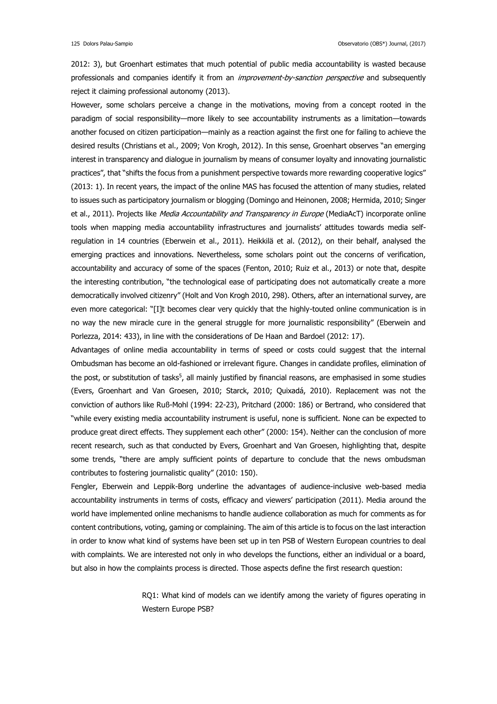2012: 3), but Groenhart estimates that much potential of public media accountability is wasted because professionals and companies identify it from an *improvement-by-sanction perspective* and subsequently reject it claiming professional autonomy (2013).

However, some scholars perceive a change in the motivations, moving from a concept rooted in the paradigm of social responsibility—more likely to see accountability instruments as a limitation—towards another focused on citizen participation—mainly as a reaction against the first one for failing to achieve the desired results (Christians et al., 2009; Von Krogh, 2012). In this sense, Groenhart observes "an emerging interest in transparency and dialogue in journalism by means of consumer loyalty and innovating journalistic practices", that "shifts the focus from a punishment perspective towards more rewarding cooperative logics" (2013: 1). In recent years, the impact of the online MAS has focused the attention of many studies, related to issues such as participatory journalism or blogging (Domingo and Heinonen, 2008; Hermida, 2010; Singer et al., 2011). Projects like Media Accountability and Transparency in Europe (MediaAcT) incorporate online tools when mapping media accountability infrastructures and journalists' attitudes towards media selfregulation in 14 countries (Eberwein et al., 2011). Heikkilä et al. (2012), on their behalf, analysed the emerging practices and innovations. Nevertheless, some scholars point out the concerns of verification, accountability and accuracy of some of the spaces (Fenton, 2010; Ruiz et al., 2013) or note that, despite the interesting contribution, "the technological ease of participating does not automatically create a more democratically involved citizenry" (Holt and Von Krogh 2010, 298). Others, after an international survey, are even more categorical: "[I]t becomes clear very quickly that the highly-touted online communication is in no way the new miracle cure in the general struggle for more journalistic responsibility" (Eberwein and Porlezza, 2014: 433), in line with the considerations of De Haan and Bardoel (2012: 17).

Advantages of online media accountability in terms of speed or costs could suggest that the internal Ombudsman has become an old-fashioned or irrelevant figure. Changes in candidate profiles, elimination of the post, or substitution of tasks<sup>5</sup>, all mainly justified by financial reasons, are emphasised in some studies (Evers, Groenhart and Van Groesen, 2010; Starck, 2010; Quixadá, 2010). Replacement was not the conviction of authors like Ruß-Mohl (1994: 22-23), Pritchard (2000: 186) or Bertrand, who considered that "while every existing media accountability instrument is useful, none is sufficient. None can be expected to produce great direct effects. They supplement each other" (2000: 154). Neither can the conclusion of more recent research, such as that conducted by Evers, Groenhart and Van Groesen, highlighting that, despite some trends, "there are amply sufficient points of departure to conclude that the news ombudsman contributes to fostering journalistic quality" (2010: 150).

Fengler, Eberwein and Leppik-Borg underline the advantages of audience-inclusive web-based media accountability instruments in terms of costs, efficacy and viewers' participation (2011). Media around the world have implemented online mechanisms to handle audience collaboration as much for comments as for content contributions, voting, gaming or complaining. The aim of this article is to focus on the last interaction in order to know what kind of systems have been set up in ten PSB of Western European countries to deal with complaints. We are interested not only in who develops the functions, either an individual or a board, but also in how the complaints process is directed. Those aspects define the first research question:

> RQ1: What kind of models can we identify among the variety of figures operating in Western Europe PSB?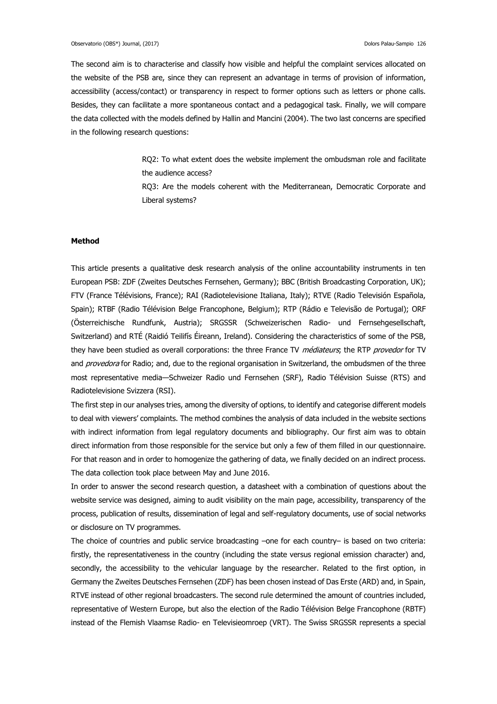The second aim is to characterise and classify how visible and helpful the complaint services allocated on the website of the PSB are, since they can represent an advantage in terms of provision of information, accessibility (access/contact) or transparency in respect to former options such as letters or phone calls. Besides, they can facilitate a more spontaneous contact and a pedagogical task. Finally, we will compare the data collected with the models defined by Hallin and Mancini (2004). The two last concerns are specified in the following research questions:

> RQ2: To what extent does the website implement the ombudsman role and facilitate the audience access? RQ3: Are the models coherent with the Mediterranean, Democratic Corporate and Liberal systems?

### **Method**

This article presents a qualitative desk research analysis of the online accountability instruments in ten European PSB: ZDF (Zweites Deutsches Fernsehen, Germany); BBC (British Broadcasting Corporation, UK); FTV (France Télévisions, France); RAI (Radiotelevisione Italiana, Italy); RTVE (Radio Televisión Española, Spain); RTBF (Radio Télévision Belge Francophone, Belgium); RTP (Rádio e Televisão de Portugal); ORF (Österreichische Rundfunk, Austria); SRGSSR (Schweizerischen Radio- und Fernsehgesellschaft, Switzerland) and RTÉ (Raidió Teilifís Éireann, Ireland). Considering the characteristics of some of the PSB, they have been studied as overall corporations: the three France TV *médiateurs*; the RTP provedor for TV and provedora for Radio; and, due to the regional organisation in Switzerland, the ombudsmen of the three most representative media—Schweizer Radio und Fernsehen (SRF), Radio Télévision Suisse (RTS) and Radiotelevisione Svizzera (RSI).

The first step in our analyses tries, among the diversity of options, to identify and categorise different models to deal with viewers' complaints. The method combines the analysis of data included in the website sections with indirect information from legal regulatory documents and bibliography. Our first aim was to obtain direct information from those responsible for the service but only a few of them filled in our questionnaire. For that reason and in order to homogenize the gathering of data, we finally decided on an indirect process. The data collection took place between May and June 2016.

In order to answer the second research question, a datasheet with a combination of questions about the website service was designed, aiming to audit visibility on the main page, accessibility, transparency of the process, publication of results, dissemination of legal and self-regulatory documents, use of social networks or disclosure on TV programmes.

The choice of countries and public service broadcasting –one for each country– is based on two criteria: firstly, the representativeness in the country (including the state versus regional emission character) and, secondly, the accessibility to the vehicular language by the researcher. Related to the first option, in Germany the Zweites Deutsches Fernsehen (ZDF) has been chosen instead of Das Erste (ARD) and, in Spain, RTVE instead of other regional broadcasters. The second rule determined the amount of countries included, representative of Western Europe, but also the election of the Radio Télévision Belge Francophone (RBTF) instead of the Flemish Vlaamse Radio- en Televisieomroep (VRT). The Swiss SRGSSR represents a special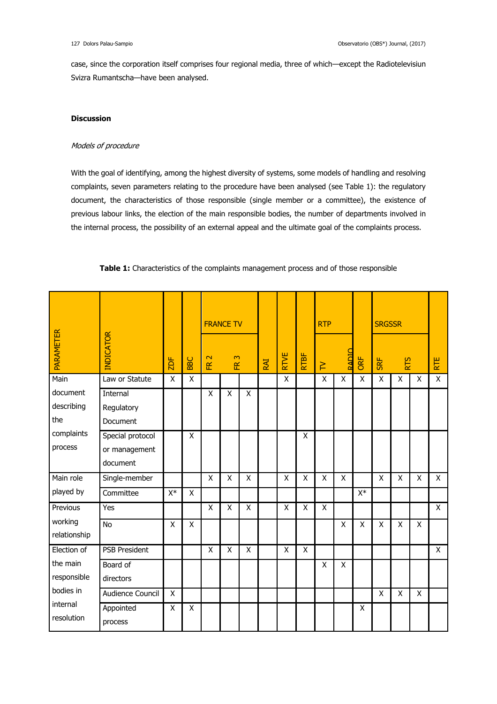case, since the corporation itself comprises four regional media, three of which—except the Radiotelevisiun Svizra Rumantscha—have been analysed.

### **Discussion**

## Models of procedure

With the goal of identifying, among the highest diversity of systems, some models of handling and resolving complaints, seven parameters relating to the procedure have been analysed (see Table 1): the regulatory document, the characteristics of those responsible (single member or a committee), the existence of previous labour links, the election of the main responsible bodies, the number of departments involved in the internal process, the possibility of an external appeal and the ultimate goal of the complaints process.

|                               |                                               |       |                    | <b>FRANCE TV</b><br>$\mathbf{\Omega}$<br>$\infty$<br>$\tilde{E}$<br>匥 |                    |     |             |      | <b>RTP</b> |              |     | <b>SRGSSR</b> |            |   |            |              |
|-------------------------------|-----------------------------------------------|-------|--------------------|-----------------------------------------------------------------------|--------------------|-----|-------------|------|------------|--------------|-----|---------------|------------|---|------------|--------------|
| <b>PARAMETER</b>              | INDICATOR                                     | 2DF   | BBC                |                                                                       |                    | RAI | <b>RTVE</b> | RTBF | $\geq$     | <b>RADIC</b> | ORF | SRF           | <b>RTS</b> |   | <b>RTE</b> |              |
| Main                          | Law or Statute                                | X     | X                  |                                                                       |                    |     |             | X    |            | X            | X   | X             | X          | X | X          | $\mathsf{X}$ |
| document<br>describing<br>the | Internal<br>Regulatory<br>Document            |       |                    | Χ                                                                     | $\pmb{\mathsf{X}}$ | X   |             |      |            |              |     |               |            |   |            |              |
| complaints<br>process         | Special protocol<br>or management<br>document |       | X                  |                                                                       |                    |     |             |      | X          |              |     |               |            |   |            |              |
| Main role                     | Single-member                                 |       |                    | X                                                                     | X                  | X   |             | X    | Χ          | Χ            | X   |               | X          | X | X          | $\mathsf{X}$ |
| played by                     | Committee                                     | $X^*$ | X                  |                                                                       |                    |     |             |      |            |              |     | $X^*$         |            |   |            |              |
| Previous                      | Yes                                           |       |                    | X                                                                     | X                  | X   |             | X    | X          | X            |     |               |            |   |            | $\mathsf{X}$ |
| working<br>relationship       | <b>No</b>                                     | X     | $\pmb{\mathsf{X}}$ |                                                                       |                    |     |             |      |            |              | X   | X             | X          | X | X          |              |
| Election of                   | <b>PSB President</b>                          |       |                    | Χ                                                                     | X                  | X   |             | X    | X          |              |     |               |            |   |            | X            |
| the main<br>responsible       | Board of<br>directors                         |       |                    |                                                                       |                    |     |             |      |            | X            | X   |               |            |   |            |              |
| bodies in                     | Audience Council                              | X     |                    |                                                                       |                    |     |             |      |            |              |     |               | X          | X | Χ          |              |
| internal<br>resolution        | Appointed<br>process                          | X     | $\pmb{\mathsf{X}}$ |                                                                       |                    |     |             |      |            |              |     | X             |            |   |            |              |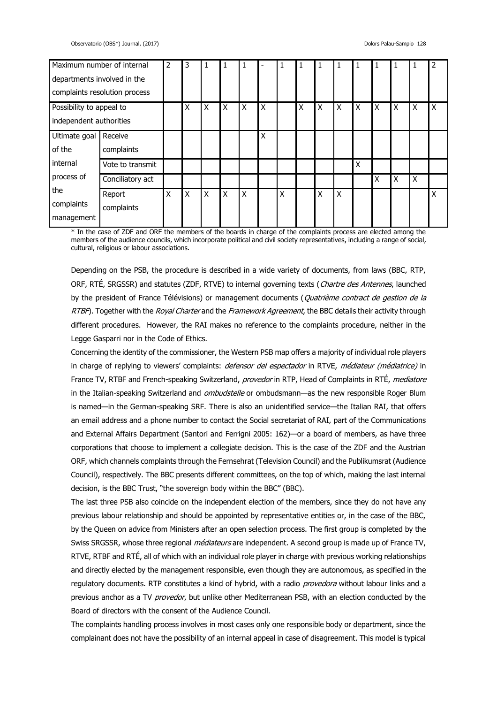| Maximum number of internal    |                      | $\overline{2}$ | 3 |              |   | 1 |   |   | 1 | 1 | 1                         |   |   |   |   | $\overline{\phantom{a}}$ |
|-------------------------------|----------------------|----------------|---|--------------|---|---|---|---|---|---|---------------------------|---|---|---|---|--------------------------|
| departments involved in the   |                      |                |   |              |   |   |   |   |   |   |                           |   |   |   |   |                          |
| complaints resolution process |                      |                |   |              |   |   |   |   |   |   |                           |   |   |   |   |                          |
| Possibility to appeal to      |                      |                | X | X            | X | X | X |   | Χ | X | X                         | X | X | X | X | X                        |
| independent authorities       |                      |                |   |              |   |   |   |   |   |   |                           |   |   |   |   |                          |
| Ultimate goal                 | Receive              |                |   |              |   |   | X |   |   |   |                           |   |   |   |   |                          |
| of the                        | complaints           |                |   |              |   |   |   |   |   |   |                           |   |   |   |   |                          |
| internal                      | Vote to transmit     |                |   |              |   |   |   |   |   |   |                           | X |   |   |   |                          |
| process of                    | Conciliatory act     |                |   |              |   |   |   |   |   |   |                           |   | Χ | Χ | X |                          |
| the<br>complaints             | Report<br>complaints | Χ              | X | $\mathsf{X}$ | X | X |   | X |   | X | $\boldsymbol{\mathsf{X}}$ |   |   |   |   | X                        |
| management                    |                      |                |   |              |   |   |   |   |   |   |                           |   |   |   |   |                          |

\* In the case of ZDF and ORF the members of the boards in charge of the complaints process are elected among the members of the audience councils, which incorporate political and civil society representatives, including a range of social, cultural, religious or labour associations.

Depending on the PSB, the procedure is described in a wide variety of documents, from laws (BBC, RTP, ORF, RTÉ, SRGSSR) and statutes (ZDF, RTVE) to internal governing texts (Chartre des Antennes, launched by the president of France Télévisions) or management documents (Quatrième contract de gestion de la RTBF). Together with the Royal Charter and the Framework Agreement, the BBC details their activity through different procedures. However, the RAI makes no reference to the complaints procedure, neither in the Legge Gasparri nor in the Code of Ethics.

Concerning the identity of the commissioner, the Western PSB map offers a majority of individual role players in charge of replying to viewers' complaints: *defensor del espectador* in RTVE, *médiateur (médiatrice)* in France TV, RTBF and French-speaking Switzerland, *provedor* in RTP, Head of Complaints in RTÉ, mediatore in the Italian-speaking Switzerland and *ombudstelle* or ombudsmann—as the new responsible Roger Blum is named—in the German-speaking SRF. There is also an unidentified service—the Italian RAI, that offers an email address and a phone number to contact the Social secretariat of RAI, part of the Communications and External Affairs Department (Santori and Ferrigni 2005: 162)—or a board of members, as have three corporations that choose to implement a collegiate decision. This is the case of the ZDF and the Austrian ORF, which channels complaints through the Fernsehrat (Television Council) and the Publikumsrat (Audience Council), respectively. The BBC presents different committees, on the top of which, making the last internal decision, is the BBC Trust, "the sovereign body within the BBC" (BBC).

The last three PSB also coincide on the independent election of the members, since they do not have any previous labour relationship and should be appointed by representative entities or, in the case of the BBC, by the Queen on advice from Ministers after an open selection process. The first group is completed by the Swiss SRGSSR, whose three regional *médiateurs* are independent. A second group is made up of France TV, RTVE, RTBF and RTÉ, all of which with an individual role player in charge with previous working relationships and directly elected by the management responsible, even though they are autonomous, as specified in the regulatory documents. RTP constitutes a kind of hybrid, with a radio *provedora* without labour links and a previous anchor as a TV provedor, but unlike other Mediterranean PSB, with an election conducted by the Board of directors with the consent of the Audience Council.

The complaints handling process involves in most cases only one responsible body or department, since the complainant does not have the possibility of an internal appeal in case of disagreement. This model is typical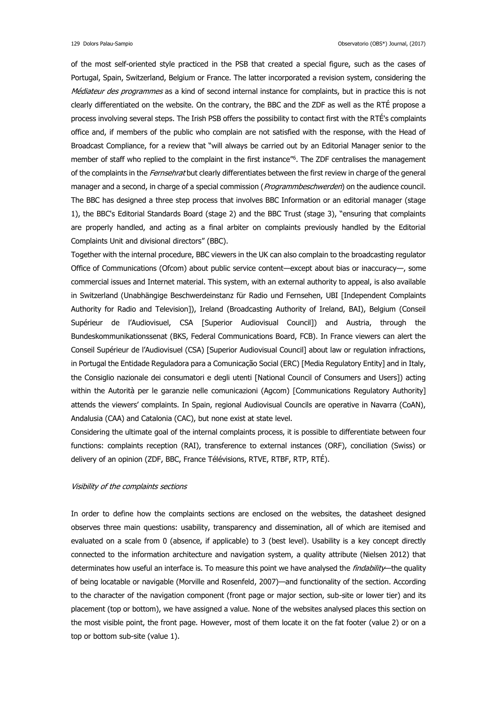of the most self-oriented style practiced in the PSB that created a special figure, such as the cases of Portugal, Spain, Switzerland, Belgium or France. The latter incorporated a revision system, considering the Médiateur des programmes as a kind of second internal instance for complaints, but in practice this is not clearly differentiated on the website. On the contrary, the BBC and the ZDF as well as the RTÉ propose a process involving several steps. The Irish PSB offers the possibility to contact first with the RTÉ's complaints office and, if members of the public who complain are not satisfied with the response, with the Head of Broadcast Compliance, for a review that "will always be carried out by an Editorial Manager senior to the member of staff who replied to the complaint in the first instance"<sup>6</sup> . The ZDF centralises the management of the complaints in the Fernsehrat but clearly differentiates between the first review in charge of the general manager and a second, in charge of a special commission (*Programmbeschwerden*) on the audience council. The BBC has designed a three step process that involves BBC Information or an editorial manager (stage 1), the BBC's Editorial Standards Board (stage 2) and the BBC Trust (stage 3), "ensuring that complaints are properly handled, and acting as a final arbiter on complaints previously handled by the Editorial Complaints Unit and divisional directors" (BBC).

Together with the internal procedure, BBC viewers in the UK can also complain to the broadcasting regulator Office of Communications (Ofcom) about public service content—except about bias or inaccuracy—, some commercial issues and Internet material. This system, with an external authority to appeal, is also available in Switzerland (Unabhängige Beschwerdeinstanz für Radio und Fernsehen, UBI [Independent Complaints Authority for Radio and Television]), Ireland (Broadcasting Authority of Ireland, BAI), Belgium (Conseil Supérieur de l'Audiovisuel, CSA [Superior Audiovisual Council]) and Austria, through the Bundeskommunikationssenat (BKS, Federal Communications Board, FCB). In France viewers can alert the Conseil Supérieur de l'Audiovisuel (CSA) [Superior Audiovisual Council] about law or regulation infractions, in Portugal the Entidade Reguladora para a Comunicação Social (ERC) [Media Regulatory Entity] and in Italy, the Consiglio nazionale dei consumatori e degli utenti [National Council of Consumers and Users]) acting within the Autorità per le garanzie nelle comunicazioni (Agcom) [Communications Regulatory Authority] attends the viewers' complaints. In Spain, regional Audiovisual Councils are operative in Navarra (CoAN), Andalusia (CAA) and Catalonia (CAC), but none exist at state level.

Considering the ultimate goal of the internal complaints process, it is possible to differentiate between four functions: complaints reception (RAI), transference to external instances (ORF), conciliation (Swiss) or delivery of an opinion (ZDF, BBC, France Télévisions, RTVE, RTBF, RTP, RTÉ).

### Visibility of the complaints sections

In order to define how the complaints sections are enclosed on the websites, the datasheet designed observes three main questions: usability, transparency and dissemination, all of which are itemised and evaluated on a scale from 0 (absence, if applicable) to 3 (best level). Usability is a key concept directly connected to the information architecture and navigation system, a quality attribute (Nielsen 2012) that determinates how useful an interface is. To measure this point we have analysed the *findability*—the quality of being locatable or navigable (Morville and Rosenfeld, 2007)—and functionality of the section. According to the character of the navigation component (front page or major section, sub-site or lower tier) and its placement (top or bottom), we have assigned a value. None of the websites analysed places this section on the most visible point, the front page. However, most of them locate it on the fat footer (value 2) or on a top or bottom sub-site (value 1).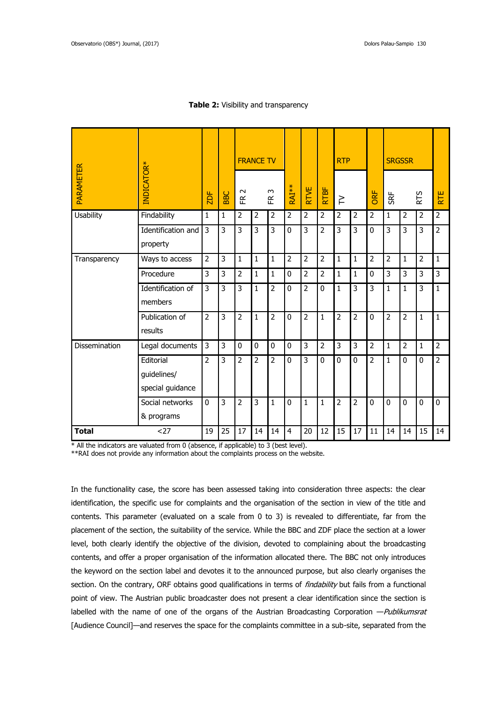| INDICATOR*<br>PARAMETER |                                              |                |              | <b>FRANCE TV</b> |                |                |                |                |                | <b>RTP</b>     |                |                |                | <b>SRGSSR</b>  |                |                 |
|-------------------------|----------------------------------------------|----------------|--------------|------------------|----------------|----------------|----------------|----------------|----------------|----------------|----------------|----------------|----------------|----------------|----------------|-----------------|
|                         |                                              | 2DF            | <b>BBC</b>   | $\sim$<br>匥      |                | $\sim$<br>匥    | RAI**          | <b>RTVE</b>    | <b>RTBF</b>    | $\geq$         |                | ORF            | SRF            |                | RTS            | RTE <sub></sub> |
| <b>Usability</b>        | Findability                                  | $\mathbf{1}$   | $\mathbf{1}$ | $\overline{2}$   | $\overline{2}$ | $\overline{2}$ | 2              | $\overline{2}$ | $\overline{2}$ | $\overline{2}$ | $\overline{2}$ | $\overline{2}$ | $\mathbf{1}$   | $\overline{2}$ | $\overline{2}$ | $\overline{2}$  |
|                         | Identification and<br>property               | 3              | 3            | 3                | 3              | 3              | 0              | 3              | $\overline{2}$ | 3              | 3              | $\mathbf{0}$   | 3              | 3              | 3              | $\overline{2}$  |
| Transparency            | Ways to access                               | $\overline{2}$ | 3            | $\mathbf{1}$     | $\mathbf{1}$   | $\mathbf{1}$   | $\overline{2}$ | $\overline{2}$ | $\overline{2}$ | $\mathbf{1}$   | $\mathbf{1}$   | $\overline{2}$ | $\overline{2}$ | 1              | $\overline{2}$ | $\mathbf{1}$    |
|                         | Procedure                                    | 3              | 3            | $\overline{2}$   | 1              | $\mathbf{1}$   | 0              | $\overline{2}$ | $\overline{2}$ | $\mathbf{1}$   | 1              | 0              | 3              | 3              | 3              | 3               |
|                         | Identification of<br>members                 | 3              | 3            | 3                | 1              | $\overline{2}$ | 0              | $\overline{2}$ | $\mathbf 0$    | $\mathbf{1}$   | 3              | 3              | $\mathbf{1}$   | $\mathbf{1}$   | 3              | $\mathbf{1}$    |
|                         | Publication of<br>results                    | $\overline{2}$ | 3            | $\overline{2}$   | $\mathbf{1}$   | $\overline{2}$ | 0              | $\overline{2}$ | $\mathbf{1}$   | $\overline{2}$ | $\overline{2}$ | $\mathbf 0$    | $\overline{2}$ | $\overline{2}$ | $\mathbf{1}$   | $\mathbf{1}$    |
| Dissemination           | Legal documents                              | 3              | 3            | 0                | 0              | $\mathbf{0}$   | 0              | 3              | $\overline{2}$ | 3              | 3              | $\overline{2}$ | $\mathbf{1}$   | $\overline{2}$ | $\mathbf{1}$   | $\overline{2}$  |
|                         | Editorial<br>guidelines/<br>special guidance | $\overline{2}$ | 3            | $\overline{2}$   | $\overline{2}$ | $\overline{2}$ | 0              | 3              | $\mathbf 0$    | 0              | $\mathbf 0$    | $\overline{2}$ | $\mathbf{1}$   | $\mathbf{0}$   | 0              | $\overline{2}$  |
|                         | Social networks<br>& programs                | $\mathbf{0}$   | 3            | $\overline{2}$   | 3              | $\mathbf{1}$   | 0              | $\mathbf{1}$   | $\mathbf{1}$   | $\overline{2}$ | $\overline{2}$ | $\mathbf{0}$   | $\mathbf{0}$   | $\mathbf{0}$   | $\mathbf{0}$   | 0               |
| $27$<br><b>Total</b>    |                                              | 19             | 25           | 17               | 14             | 14             | 4              | 20             | 12             | 15             | 17             | 11             | 14             | 14             | 15             | 14              |

### **Table 2:** Visibility and transparency

\* All the indicators are valuated from 0 (absence, if applicable) to 3 (best level).

\*\*RAI does not provide any information about the complaints process on the website.

In the functionality case, the score has been assessed taking into consideration three aspects: the clear identification, the specific use for complaints and the organisation of the section in view of the title and contents. This parameter (evaluated on a scale from 0 to 3) is revealed to differentiate, far from the placement of the section, the suitability of the service. While the BBC and ZDF place the section at a lower level, both clearly identify the objective of the division, devoted to complaining about the broadcasting contents, and offer a proper organisation of the information allocated there. The BBC not only introduces the keyword on the section label and devotes it to the announced purpose, but also clearly organises the section. On the contrary, ORF obtains good qualifications in terms of *findability* but fails from a functional point of view. The Austrian public broadcaster does not present a clear identification since the section is labelled with the name of one of the organs of the Austrian Broadcasting Corporation - Publikumsrat [Audience Council]—and reserves the space for the complaints committee in a sub-site, separated from the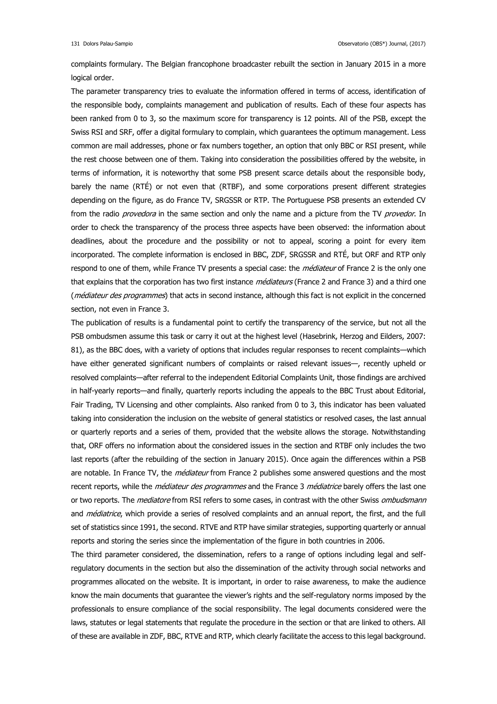complaints formulary. The Belgian francophone broadcaster rebuilt the section in January 2015 in a more logical order.

The parameter transparency tries to evaluate the information offered in terms of access, identification of the responsible body, complaints management and publication of results. Each of these four aspects has been ranked from 0 to 3, so the maximum score for transparency is 12 points. All of the PSB, except the Swiss RSI and SRF, offer a digital formulary to complain, which guarantees the optimum management. Less common are mail addresses, phone or fax numbers together, an option that only BBC or RSI present, while the rest choose between one of them. Taking into consideration the possibilities offered by the website, in terms of information, it is noteworthy that some PSB present scarce details about the responsible body, barely the name (RTÉ) or not even that (RTBF), and some corporations present different strategies depending on the figure, as do France TV, SRGSSR or RTP. The Portuguese PSB presents an extended CV from the radio *provedora* in the same section and only the name and a picture from the TV provedor. In order to check the transparency of the process three aspects have been observed: the information about deadlines, about the procedure and the possibility or not to appeal, scoring a point for every item incorporated. The complete information is enclosed in BBC, ZDF, SRGSSR and RTÉ, but ORF and RTP only respond to one of them, while France TV presents a special case: the *médiateur* of France 2 is the only one that explains that the corporation has two first instance *médiateurs* (France 2 and France 3) and a third one (médiateur des programmes) that acts in second instance, although this fact is not explicit in the concerned section, not even in France 3.

The publication of results is a fundamental point to certify the transparency of the service, but not all the PSB ombudsmen assume this task or carry it out at the highest level (Hasebrink, Herzog and Eilders, 2007: 81), as the BBC does, with a variety of options that includes regular responses to recent complaints—which have either generated significant numbers of complaints or raised relevant issues—, recently upheld or resolved complaints—after referral to the independent Editorial Complaints Unit, those findings are archived in half-yearly reports—and finally, quarterly reports including the appeals to the BBC Trust about Editorial, Fair Trading, TV Licensing and other complaints. Also ranked from 0 to 3, this indicator has been valuated taking into consideration the inclusion on the website of general statistics or resolved cases, the last annual or quarterly reports and a series of them, provided that the website allows the storage. Notwithstanding that, ORF offers no information about the considered issues in the section and RTBF only includes the two last reports (after the rebuilding of the section in January 2015). Once again the differences within a PSB are notable. In France TV, the *médiateur* from France 2 publishes some answered questions and the most recent reports, while the *médiateur des programmes* and the France 3 médiatrice barely offers the last one or two reports. The *mediatore* from RSI refers to some cases, in contrast with the other Swiss *ombudsmann* and *médiatrice*, which provide a series of resolved complaints and an annual report, the first, and the full set of statistics since 1991, the second. RTVE and RTP have similar strategies, supporting quarterly or annual reports and storing the series since the implementation of the figure in both countries in 2006.

The third parameter considered, the dissemination, refers to a range of options including legal and selfregulatory documents in the section but also the dissemination of the activity through social networks and programmes allocated on the website. It is important, in order to raise awareness, to make the audience know the main documents that guarantee the viewer's rights and the self-regulatory norms imposed by the professionals to ensure compliance of the social responsibility. The legal documents considered were the laws, statutes or legal statements that regulate the procedure in the section or that are linked to others. All of these are available in ZDF, BBC, RTVE and RTP, which clearly facilitate the access to this legal background.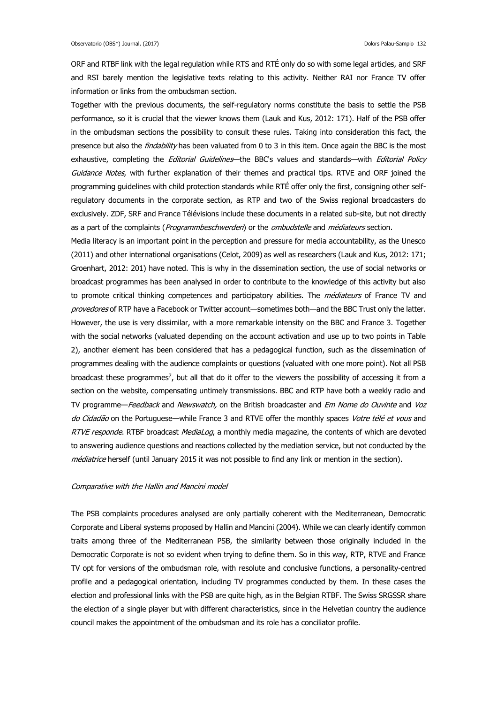ORF and RTBF link with the legal regulation while RTS and RTÉ only do so with some legal articles, and SRF and RSI barely mention the legislative texts relating to this activity. Neither RAI nor France TV offer information or links from the ombudsman section.

Together with the previous documents, the self-regulatory norms constitute the basis to settle the PSB performance, so it is crucial that the viewer knows them (Lauk and Kus, 2012: 171). Half of the PSB offer in the ombudsman sections the possibility to consult these rules. Taking into consideration this fact, the presence but also the *findability* has been valuated from 0 to 3 in this item. Once again the BBC is the most exhaustive, completing the *Editorial Guidelines*—the BBC's values and standards—with Editorial Policy Guidance Notes, with further explanation of their themes and practical tips. RTVE and ORF joined the programming guidelines with child protection standards while RTÉ offer only the first, consigning other selfregulatory documents in the corporate section, as RTP and two of the Swiss regional broadcasters do exclusively. ZDF, SRF and France Télévisions include these documents in a related sub-site, but not directly as a part of the complaints (Programmbeschwerden) or the ombudstelle and médiateurs section.

Media literacy is an important point in the perception and pressure for media accountability, as the Unesco (2011) and other international organisations (Celot, 2009) as well as researchers (Lauk and Kus, 2012: 171; Groenhart, 2012: 201) have noted. This is why in the dissemination section, the use of social networks or broadcast programmes has been analysed in order to contribute to the knowledge of this activity but also to promote critical thinking competences and participatory abilities. The *médiateurs* of France TV and provedores of RTP have a Facebook or Twitter account—sometimes both—and the BBC Trust only the latter. However, the use is very dissimilar, with a more remarkable intensity on the BBC and France 3. Together with the social networks (valuated depending on the account activation and use up to two points in Table 2), another element has been considered that has a pedagogical function, such as the dissemination of programmes dealing with the audience complaints or questions (valuated with one more point). Not all PSB broadcast these programmes<sup>7</sup>, but all that do it offer to the viewers the possibility of accessing it from a section on the website, compensating untimely transmissions. BBC and RTP have both a weekly radio and TV programme—Feedback and Newswatch, on the British broadcaster and Em Nome do Ouvinte and Voz do Cidadão on the Portuguese—while France 3 and RTVE offer the monthly spaces Votre télé et vous and RTVE responde. RTBF broadcast MediaLog, a monthly media magazine, the contents of which are devoted to answering audience questions and reactions collected by the mediation service, but not conducted by the médiatrice herself (until January 2015 it was not possible to find any link or mention in the section).

### Comparative with the Hallin and Mancini model

The PSB complaints procedures analysed are only partially coherent with the Mediterranean, Democratic Corporate and Liberal systems proposed by Hallin and Mancini (2004). While we can clearly identify common traits among three of the Mediterranean PSB, the similarity between those originally included in the Democratic Corporate is not so evident when trying to define them. So in this way, RTP, RTVE and France TV opt for versions of the ombudsman role, with resolute and conclusive functions, a personality-centred profile and a pedagogical orientation, including TV programmes conducted by them. In these cases the election and professional links with the PSB are quite high, as in the Belgian RTBF. The Swiss SRGSSR share the election of a single player but with different characteristics, since in the Helvetian country the audience council makes the appointment of the ombudsman and its role has a conciliator profile.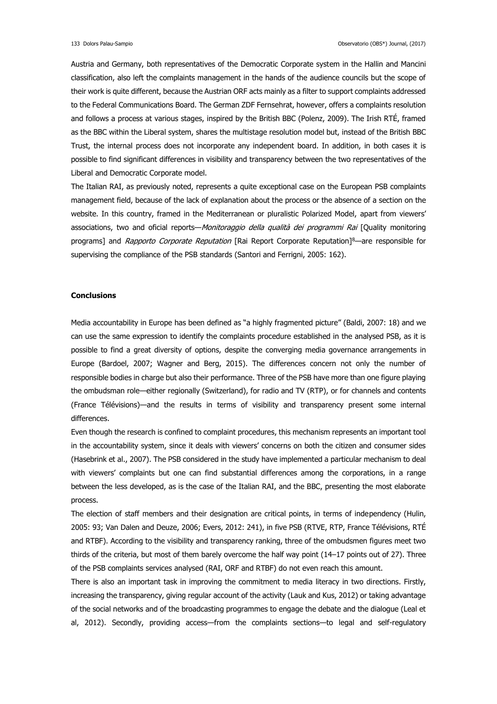Austria and Germany, both representatives of the Democratic Corporate system in the Hallin and Mancini classification, also left the complaints management in the hands of the audience councils but the scope of their work is quite different, because the Austrian ORF acts mainly as a filter to support complaints addressed to the Federal Communications Board. The German ZDF Fernsehrat, however, offers a complaints resolution and follows a process at various stages, inspired by the British BBC (Polenz, 2009). The Irish RTÉ, framed as the BBC within the Liberal system, shares the multistage resolution model but, instead of the British BBC Trust, the internal process does not incorporate any independent board. In addition, in both cases it is possible to find significant differences in visibility and transparency between the two representatives of the Liberal and Democratic Corporate model.

The Italian RAI, as previously noted, represents a quite exceptional case on the European PSB complaints management field, because of the lack of explanation about the process or the absence of a section on the website. In this country, framed in the Mediterranean or pluralistic Polarized Model, apart from viewers' associations, two and oficial reports—Monitoraggio della qualità dei programmi Rai [Quality monitoring programs] and Rapporto Corporate Reputation [Rai Report Corporate Reputation]<sup>8</sup>—are responsible for supervising the compliance of the PSB standards (Santori and Ferrigni, 2005: 162).

### **Conclusions**

Media accountability in Europe has been defined as "a highly fragmented picture" (Baldi, 2007: 18) and we can use the same expression to identify the complaints procedure established in the analysed PSB, as it is possible to find a great diversity of options, despite the converging media governance arrangements in Europe (Bardoel, 2007; Wagner and Berg, 2015). The differences concern not only the number of responsible bodies in charge but also their performance. Three of the PSB have more than one figure playing the ombudsman role—either regionally (Switzerland), for radio and TV (RTP), or for channels and contents (France Télévisions)—and the results in terms of visibility and transparency present some internal differences.

Even though the research is confined to complaint procedures, this mechanism represents an important tool in the accountability system, since it deals with viewers' concerns on both the citizen and consumer sides (Hasebrink et al., 2007). The PSB considered in the study have implemented a particular mechanism to deal with viewers' complaints but one can find substantial differences among the corporations, in a range between the less developed, as is the case of the Italian RAI, and the BBC, presenting the most elaborate process.

The election of staff members and their designation are critical points, in terms of independency (Hulin, 2005: 93; Van Dalen and Deuze, 2006; Evers, 2012: 241), in five PSB (RTVE, RTP, France Télévisions, RTÉ and RTBF). According to the visibility and transparency ranking, three of the ombudsmen figures meet two thirds of the criteria, but most of them barely overcome the half way point (14–17 points out of 27). Three of the PSB complaints services analysed (RAI, ORF and RTBF) do not even reach this amount.

There is also an important task in improving the commitment to media literacy in two directions. Firstly, increasing the transparency, giving regular account of the activity (Lauk and Kus, 2012) or taking advantage of the social networks and of the broadcasting programmes to engage the debate and the dialogue (Leal et al, 2012). Secondly, providing access—from the complaints sections—to legal and self-regulatory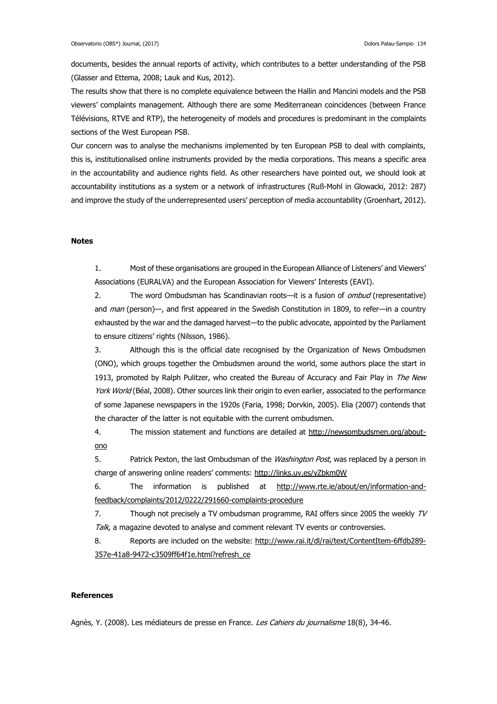documents, besides the annual reports of activity, which contributes to a better understanding of the PSB (Glasser and Ettema, 2008; Lauk and Kus, 2012).

The results show that there is no complete equivalence between the Hallin and Mancini models and the PSB viewers' complaints management. Although there are some Mediterranean coincidences (between France Télévisions, RTVE and RTP), the heterogeneity of models and procedures is predominant in the complaints sections of the West European PSB.

Our concern was to analyse the mechanisms implemented by ten European PSB to deal with complaints, this is, institutionalised online instruments provided by the media corporations. This means a specific area in the accountability and audience rights field. As other researchers have pointed out, we should look at accountability institutions as a system or a network of infrastructures (Ruß-Mohl in Glowacki, 2012: 287) and improve the study of the underrepresented users' perception of media accountability (Groenhart, 2012).

### **Notes**

1. Most of these organisations are grouped in the European Alliance of Listeners' and Viewers' Associations (EURALVA) and the European Association for Viewers' Interests (EAVI).

2. The word Ombudsman has Scandinavian roots—it is a fusion of *ombud* (representative) and *man* (person)—, and first appeared in the Swedish Constitution in 1809, to refer—in a country exhausted by the war and the damaged harvest—to the public advocate, appointed by the Parliament to ensure citizens' rights (Nilsson, 1986).

3. Although this is the official date recognised by the Organization of News Ombudsmen (ONO), which groups together the Ombudsmen around the world, some authors place the start in 1913, promoted by Ralph Pulitzer, who created the Bureau of Accuracy and Fair Play in The New York World (Béal, 2008). Other sources link their origin to even earlier, associated to the performance of some Japanese newspapers in the 1920s (Faria, 1998; Dorvkin, 2005). Elia (2007) contends that the character of the latter is not equitable with the current ombudsmen.

4. The mission statement and functions are detailed at [http://newsombudsmen.org/about](http://newsombudsmen.org/about-ono)[ono](http://newsombudsmen.org/about-ono)

5. Patrick Pexton, the last Ombudsman of the *Washington Post*, was replaced by a person in charge of answering online readers' comments: <http://links.uv.es/yZbkm0W>

6. The information is published at [http://www.rte.ie/about/en/information-and](http://www.rte.ie/about/en/information-and-feedback/complaints/2012/0222/291660-complaints-procedure)[feedback/complaints/2012/0222/291660-complaints-procedure](http://www.rte.ie/about/en/information-and-feedback/complaints/2012/0222/291660-complaints-procedure)

7. Though not precisely a TV ombudsman programme, RAI offers since 2005 the weekly  $TV$ Talk, a magazine devoted to analyse and comment relevant TV events or controversies.

8. Reports are included on the website: [http://www.rai.it/dl/rai/text/ContentItem-6ffdb289-](http://www.rai.it/dl/rai/text/ContentItem-6ffdb289-357e-41a8-9472-c3509ff64f1e.html?refresh_ce) [357e-41a8-9472-c3509ff64f1e.html?refresh\\_ce](http://www.rai.it/dl/rai/text/ContentItem-6ffdb289-357e-41a8-9472-c3509ff64f1e.html?refresh_ce)

### **References**

Agnès, Y. (2008). Les médiateurs de presse en France. Les Cahiers du journalisme 18(8), 34-46.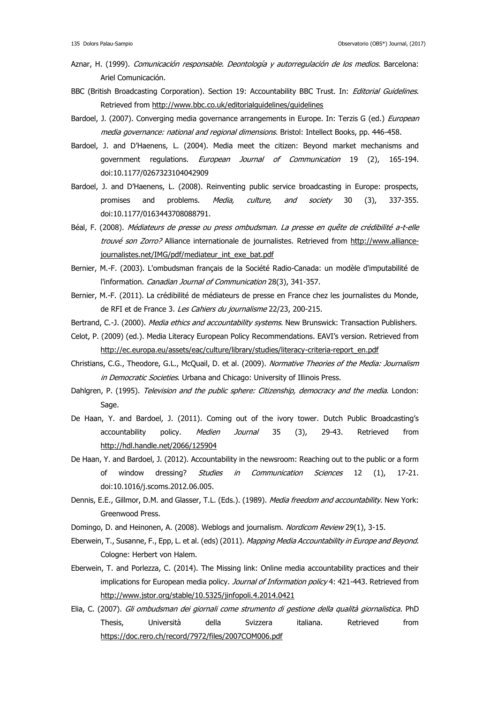- Aznar, H. (1999). Comunicación responsable. Deontología y autorregulación de los medios. Barcelona: Ariel Comunicación.
- BBC (British Broadcasting Corporation). Section 19: Accountability BBC Trust. In: Editorial Guidelines. Retrieved from<http://www.bbc.co.uk/editorialguidelines/guidelines>
- Bardoel, J. (2007). Converging media governance arrangements in Europe. In: Terzis G (ed.) European media governance: national and regional dimensions. Bristol: Intellect Books, pp. 446-458.
- Bardoel, J. and D'Haenens, L. (2004). Media meet the citizen: Beyond market mechanisms and government regulations. European Journal of Communication 19 (2), 165-194. doi:10.1177/0267323104042909
- Bardoel, J. and D'Haenens, L. (2008). Reinventing public service broadcasting in Europe: prospects, promises and problems. Media, culture, and society 30 (3), 337-355. doi:10.1177/0163443708088791.
- Béal, F. (2008). Médiateurs de presse ou press ombudsman. La presse en quête de crédibilité a-t-elle trouvé son Zorro? Alliance internationale de journalistes. Retrieved from [http://www.alliance](http://www.alliance-journalistes.net/IMG/pdf/mediateur_int_exe_bat.pdf)[journalistes.net/IMG/pdf/mediateur\\_int\\_exe\\_bat.pdf](http://www.alliance-journalistes.net/IMG/pdf/mediateur_int_exe_bat.pdf)
- Bernier, M.-F. (2003). L'ombudsman français de la Société Radio-Canada: un modèle d'imputabilité de l'information. Canadian Journal of Communication 28(3), 341-357.
- Bernier, M.-F. (2011). La crédibilité de médiateurs de presse en France chez les journalistes du Monde, de RFI et de France 3. Les Cahiers du journalisme 22/23, 200-215.
- Bertrand, C.-J. (2000). Media ethics and accountability systems. New Brunswick: Transaction Publishers.
- Celot, P. (2009) (ed.). Media Literacy European Policy Recommendations. EAVI's version. Retrieved from [http://ec.europa.eu/assets/eac/culture/library/studies/literacy-criteria-report\\_en.pdf](http://ec.europa.eu/assets/eac/culture/library/studies/literacy-criteria-report_en.pdf)
- Christians, C.G., Theodore, G.L., McQuail, D. et al. (2009). Normative Theories of the Media: Journalism in Democratic Societies. Urbana and Chicago: University of Illinois Press.
- Dahlgren, P. (1995). Television and the public sphere: Citizenship, democracy and the media. London: Sage.
- De Haan, Y. and Bardoel, J. (2011). Coming out of the ivory tower. Dutch Public Broadcasting's accountability policy. Medien Journal 35 (3), 29-43. Retrieved from <http://hdl.handle.net/2066/125904>
- De Haan, Y. and Bardoel, J. (2012). Accountability in the newsroom: Reaching out to the public or a form of window dressing? Studies in Communication Sciences 12 (1), 17-21. doi:10.1016/j.scoms.2012.06.005.
- Dennis, E.E., Gillmor, D.M. and Glasser, T.L. (Eds.). (1989). *Media freedom and accountability*. New York: Greenwood Press.
- Domingo, D. and Heinonen, A. (2008). Weblogs and journalism. Nordicom Review 29(1), 3-15.
- Eberwein, T., Susanne, F., Epp, L. et al. (eds) (2011). Mapping Media Accountability in Europe and Beyond. Cologne: Herbert von Halem.
- Eberwein, T. and Porlezza, C. (2014). The Missing link: Online media accountability practices and their implications for European media policy. Journal of Information policy 4: 421-443. Retrieved from <http://www.jstor.org/stable/10.5325/jinfopoli.4.2014.0421>
- Elia, C. (2007). Gli ombudsman dei giornali come strumento di gestione della qualità giornalistica. PhD Thesis, Università della Svizzera italiana. Retrieved from <https://doc.rero.ch/record/7972/files/2007COM006.pdf>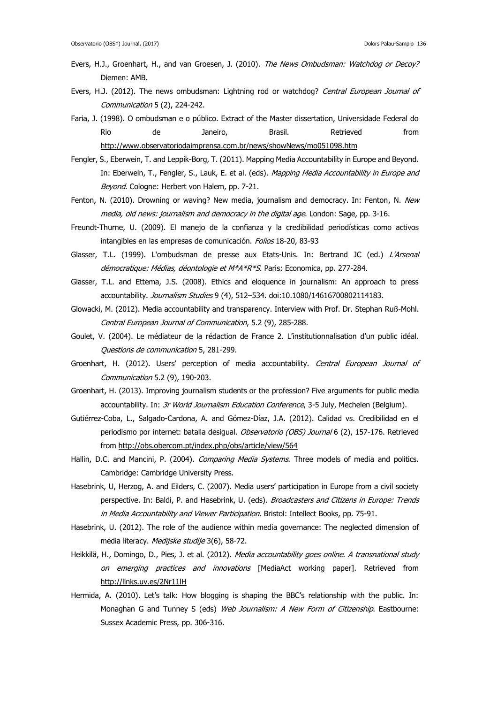- Evers, H.J., Groenhart, H., and van Groesen, J. (2010). The News Ombudsman: Watchdog or Decoy? Diemen: AMB.
- Evers, H.J. (2012). The news ombudsman: Lightning rod or watchdog? Central European Journal of Communication 5 (2), 224-242.
- Faria, J. (1998). O ombudsman e o público. Extract of the Master dissertation, Universidade Federal do Rio de Janeiro, Brasil. Retrieved from <http://www.observatoriodaimprensa.com.br/news/showNews/mo051098.htm>
- Fengler, S., Eberwein, T. and Leppik-Borg, T. (2011). Mapping Media Accountability in Europe and Beyond. In: Eberwein, T., Fengler, S., Lauk, E. et al. (eds). Mapping Media Accountability in Europe and Beyond. Cologne: Herbert von Halem, pp. 7-21.
- Fenton, N. (2010). Drowning or waving? New media, journalism and democracy. In: Fenton, N. New media, old news: journalism and democracy in the digital age. London: Sage, pp. 3-16.
- Freundt-Thurne, U. (2009). El manejo de la confianza y la credibilidad periodísticas como activos intangibles en las empresas de comunicación. Folios 18-20, 83-93
- Glasser, T.L. (1999). L'ombudsman de presse aux Etats-Unis. In: Bertrand JC (ed.) L'Arsenal démocratique: Médias, déontologie et M\*A\*R\*S. Paris: Economica, pp. 277-284.
- Glasser, T.L. and Ettema, J.S. (2008). Ethics and eloquence in journalism: An approach to press accountability. Journalism Studies 9 (4), 512-534. doi:10.1080/14616700802114183.
- Glowacki, M. (2012). Media accountability and transparency. Interview with Prof. Dr. Stephan Ruß-Mohl. Central European Journal of Communication, 5.2 (9), 285-288.
- Goulet, V. (2004). Le médiateur de la rédaction de France 2. L'institutionnalisation d'un public idéal. Questions de communication 5, 281-299.
- Groenhart, H. (2012). Users' perception of media accountability. Central European Journal of Communication 5.2 (9), 190-203.
- Groenhart, H. (2013). Improving journalism students or the profession? Five arguments for public media accountability. In: *3r World Journalism Education Conference*, 3-5 July, Mechelen (Belgium).
- Gutiérrez-Coba, L., Salgado-Cardona, A. and Gómez-Díaz, J.A. (2012). Calidad vs. Credibilidad en el periodismo por internet: batalla desigual. Observatorio (OBS) Journal 6 (2), 157-176. Retrieved from<http://obs.obercom.pt/index.php/obs/article/view/564>
- Hallin, D.C. and Mancini, P. (2004). Comparing Media Systems. Three models of media and politics. Cambridge: Cambridge University Press.
- Hasebrink, U, Herzog, A. and Eilders, C. (2007). Media users' participation in Europe from a civil society perspective. In: Baldi, P. and Hasebrink, U. (eds). Broadcasters and Citizens in Europe: Trends in Media Accountability and Viewer Participation. Bristol: Intellect Books, pp. 75-91.
- Hasebrink, U. (2012). The role of the audience within media governance: The neglected dimension of media literacy. Medijske studije 3(6), 58-72.
- Heikkilä, H., Domingo, D., Pies, J. et al. (2012). Media accountability goes online. A transnational study on emerging practices and innovations [MediaAct working paper]. Retrieved from <http://links.uv.es/2Nr11lH>
- Hermida, A. (2010). Let's talk: How blogging is shaping the BBC's relationship with the public. In: Monaghan G and Tunney S (eds) Web Journalism: A New Form of Citizenship. Eastbourne: Sussex Academic Press, pp. 306-316.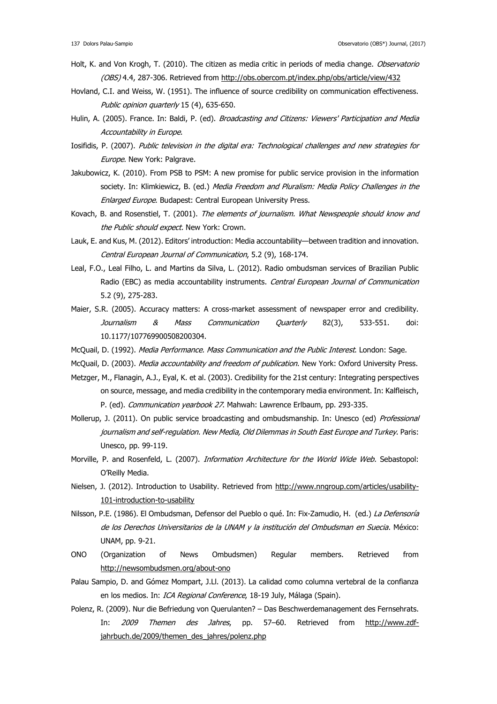- Holt, K. and Von Krogh, T. (2010). The citizen as media critic in periods of media change. *Observatorio* (OBS) 4.4, 287-306. Retrieved from<http://obs.obercom.pt/index.php/obs/article/view/432>
- Hovland, C.I. and Weiss, W. (1951). The influence of source credibility on communication effectiveness. Public opinion quarterly 15 (4), 635-650.
- Hulin, A. (2005). France. In: Baldi, P. (ed). Broadcasting and Citizens: Viewers' Participation and Media Accountability in Europe.
- Iosifidis, P. (2007). Public television in the digital era: Technological challenges and new strategies for Europe. New York: Palgrave.
- Jakubowicz, K. (2010). From PSB to PSM: A new promise for public service provision in the information society. In: Klimkiewicz, B. (ed.) Media Freedom and Pluralism: Media Policy Challenges in the Enlarged Europe. Budapest: Central European University Press.
- Kovach, B. and Rosenstiel, T. (2001). The elements of journalism. What Newspeople should know and the Public should expect. New York: Crown.
- Lauk, E. and Kus, M. (2012). Editors' introduction: Media accountability—between tradition and innovation. Central European Journal of Communication, 5.2 (9), 168-174.
- Leal, F.O., Leal Filho, L. and Martins da Silva, L. (2012). Radio ombudsman services of Brazilian Public Radio (EBC) as media accountability instruments. Central European Journal of Communication 5.2 (9), 275-283.
- Maier, S.R. (2005). Accuracy matters: A cross-market assessment of newspaper error and credibility. Journalism & Mass Communication Quarterly 82(3), 533-551. doi: 10.1177/107769900508200304.
- McQuail, D. (1992). Media Performance. Mass Communication and the Public Interest. London: Sage.
- McQuail, D. (2003). *Media accountability and freedom of publication*. New York: Oxford University Press.
- Metzger, M., Flanagin, A.J., Eyal, K. et al. (2003). Credibility for the 21st century: Integrating perspectives on source, message, and media credibility in the contemporary media environment. In: Kalfleisch, P. (ed). Communication yearbook 27. Mahwah: Lawrence Erlbaum, pp. 293-335.
- Mollerup, J. (2011). On public service broadcasting and ombudsmanship. In: Unesco (ed) Professional journalism and self-regulation. New Media, Old Dilemmas in South East Europe and Turkey. Paris: Unesco, pp. 99-119.
- Morville, P. and Rosenfeld, L. (2007). Information Architecture for the World Wide Web. Sebastopol: O'Reilly Media.
- Nielsen, J. (2012). Introduction to Usability. Retrieved from [http://www.nngroup.com/articles/usability-](http://www.nngroup.com/articles/usability-101-introduction-to-usability)[101-introduction-to-usability](http://www.nngroup.com/articles/usability-101-introduction-to-usability)
- Nilsson, P.E. (1986). El Ombudsman, Defensor del Pueblo o qué. In: Fix-Zamudio, H. (ed.) La Defensoría de los Derechos Universitarios de la UNAM y la institución del Ombudsman en Suecia. México: UNAM, pp. 9-21.
- ONO (Organization of News Ombudsmen) Regular members. Retrieved from <http://newsombudsmen.org/about-ono>
- Palau Sampio, D. and Gómez Mompart, J.Ll. (2013). La calidad como columna vertebral de la confianza en los medios. In: ICA Regional Conference, 18-19 July, Málaga (Spain).
- Polenz, R. (2009). Nur die Befriedung von Querulanten? Das Beschwerdemanagement des Fernsehrats. In: 2009 Themen des Jahres, pp. 57-60. Retrieved from [http://www.zdf](http://www.zdf-jahrbuch.de/2009/themen_des_jahres/polenz.php)[jahrbuch.de/2009/themen\\_des\\_jahres/polenz.php](http://www.zdf-jahrbuch.de/2009/themen_des_jahres/polenz.php)